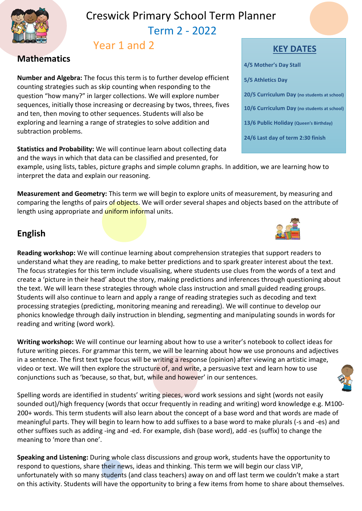

## Creswick Primary School Term Planner Term 2 - 2022

# Year 1 and 2

## **Mathematics**

**Number and Algebra:** The focus this term is to further develop efficient counting strategies such as skip counting when responding to the question "how many?" in larger collections. We will explore number sequences, initially those increasing or decreasing by twos, threes, fives and ten, then moving to other sequences. Students will also be exploring and learning a range of strategies to solve addition and subtraction problems.

**Statistics and Probability:** We will continue learn about collecting data and the ways in which that data can be classified and presented, for

example, using lists, tables, picture graphs and simple column graphs. In addition, we are learning how to interpret the data and explain our reasoning.

**Measurement and Geometry:** This term we will begin to explore units of measurement, by measuring and comparing the lengths of pairs of objects. We will order several shapes and objects based on the attribute of length using appropriate and *uniform informal units.* 

## **English**

**Reading workshop:** We will continue learning about comprehension strategies that support readers to understand what they are reading, to make better predictions and to spark greater interest about the text. The focus strategies for this term include visualising, where students use clues from the words of a text and create a 'picture in their head' about the story, making predictions and inferences through questioning about the text. We will learn these strategies through whole class instruction and small guided reading groups. Students will also continue to learn and apply a range of reading strategies such as decoding and text processing strategies (predicting, monitoring meaning and rereading). We will continue to develop our phonics knowledge through daily instruction in blending, segmenting and manipulating sounds in words for reading and writing (word work).

**Writing workshop:** We will continue our learning about how to use a writer's notebook to collect ideas for future writing pieces. For grammar this term, we will be learning about how we use pronouns and adjectives in a sentence. The first text type focus will be writing a response (opinion) after viewing an artistic image, video or text. We will then explore the structure of, and write, a persuasive text and learn how to use conjunctions such as 'because, so that, but, while and however' in our sentences.

Spelling words are identified in students' writing pieces, word work sessions and sight (words not easily sounded out)/high frequency (words that occur frequently in reading and writing) word knowledge e.g. M100- 200+ words. This term students will also learn about the concept of a base word and that words are made of meaningful parts. They will begin to learn how to add suffixes to a base word to make plurals (-s and -es) and other suffixes such as adding -ing and -ed. For example, dish (base word), add -es (suffix) to change the meaning to 'more than one'.

**Speaking and Listening:** During whole class discussions and group work, students have the opportunity to respond to questions, share their news, ideas and thinking. This term we will begin our class VIP, unfortunately with so many students (and class teachers) away on and off last term we couldn't make a start on this activity. Students will have the opportunity to bring a few items from home to share about themselves.

#### **KEY DATES**

| 4/5 Mother's Day Stall                      |
|---------------------------------------------|
| 5/5 Athletics Day                           |
| 20/5 Curriculum Day (no students at school) |
| 10/6 Curriculum Day (no students at school) |
| 13/6 Public Holiday (Queen's Birthday)      |
| 24/6 Last day of term 2:30 finish           |